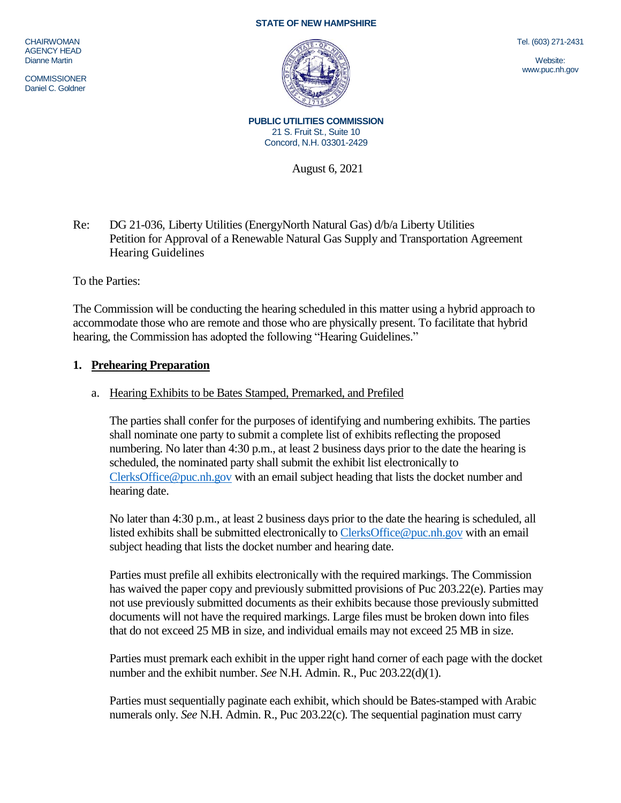#### **STATE OF NEW HAMPSHIRE**

**CHAIRWOMAN** AGENCY HEAD Dianne Martin

**COMMISSIONER** Daniel C. Goldner



Tel. (603) 271-2431

Website: www.puc.nh.gov

**PUBLIC UTILITIES COMMISSION** 21 S. Fruit St., Suite 10 Concord, N.H. 03301-2429

August 6, 2021

Re: DG 21-036, Liberty Utilities (EnergyNorth Natural Gas) d/b/a Liberty Utilities Petition for Approval of a Renewable Natural Gas Supply and Transportation Agreement Hearing Guidelines

To the Parties:

The Commission will be conducting the hearing scheduled in this matter using a hybrid approach to accommodate those who are remote and those who are physically present. To facilitate that hybrid hearing, the Commission has adopted the following "Hearing Guidelines."

### **1. Prehearing Preparation**

#### a. Hearing Exhibits to be Bates Stamped, Premarked, and Prefiled

The parties shall confer for the purposes of identifying and numbering exhibits. The parties shall nominate one party to submit a complete list of exhibits reflecting the proposed numbering. No later than 4:30 p.m., at least 2 business days prior to the date the hearing is scheduled, the nominated party shall submit the exhibit list electronically to [ClerksOffice@puc.nh.gov](mailto:ClerksOffice@puc.nh.gov) with an email subject heading that lists the docket number and hearing date.

No later than 4:30 p.m., at least 2 business days prior to the date the hearing is scheduled, all listed exhibits shall be submitted electronically t[o ClerksOffice@puc.nh.gov](mailto:Clerks.Office@puc.nh.gov) with an email subject heading that lists the docket number and hearing date.

Parties must prefile all exhibits electronically with the required markings. The Commission has waived the paper copy and previously submitted provisions of Puc 203.22(e). Parties may not use previously submitted documents as their exhibits because those previously submitted documents will not have the required markings. Large files must be broken down into files that do not exceed 25 MB in size, and individual emails may not exceed 25 MB in size.

Parties must premark each exhibit in the upper right hand corner of each page with the docket number and the exhibit number. *See* N.H. Admin. R., Puc 203.22(d)(1).

Parties must sequentially paginate each exhibit, which should be Bates-stamped with Arabic numerals only. *See* N.H. Admin. R., Puc 203.22(c). The sequential pagination must carry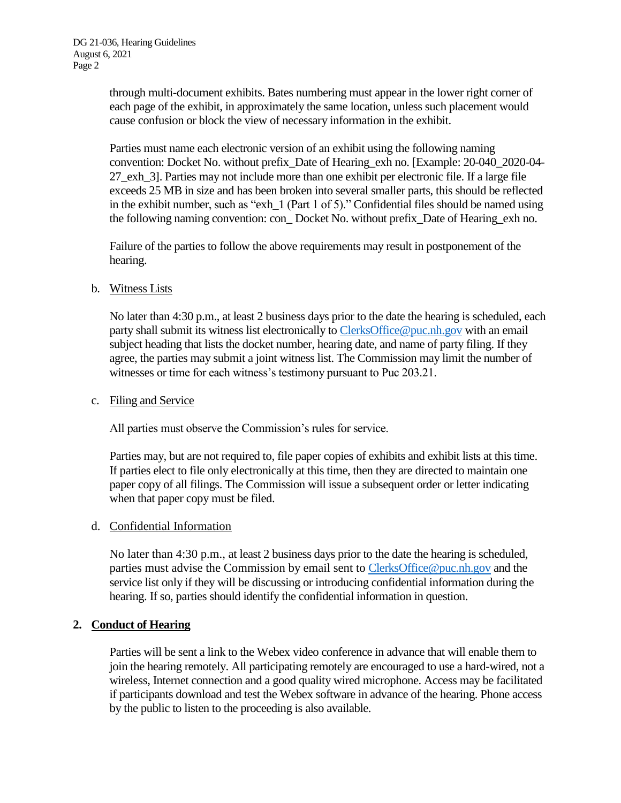through multi-document exhibits. Bates numbering must appear in the lower right corner of each page of the exhibit, in approximately the same location, unless such placement would cause confusion or block the view of necessary information in the exhibit.

Parties must name each electronic version of an exhibit using the following naming convention: Docket No. without prefix\_Date of Hearing\_exh no. [Example: 20-040\_2020-04- 27\_exh\_3]. Parties may not include more than one exhibit per electronic file. If a large file exceeds 25 MB in size and has been broken into several smaller parts, this should be reflected in the exhibit number, such as "exh\_1 (Part 1 of 5)." Confidential files should be named using the following naming convention: con\_ Docket No. without prefix\_Date of Hearing\_exh no.

Failure of the parties to follow the above requirements may result in postponement of the hearing.

# b. Witness Lists

No later than 4:30 p.m., at least 2 business days prior to the date the hearing is scheduled, each party shall submit its witness list electronically to [ClerksOffice@puc.nh.gov](mailto:Clerks.Office@puc.nh.gov) with an email subject heading that lists the docket number, hearing date, and name of party filing. If they agree, the parties may submit a joint witness list. The Commission may limit the number of witnesses or time for each witness's testimony pursuant to Puc 203.21.

### c. Filing and Service

All parties must observe the Commission's rules for service.

Parties may, but are not required to, file paper copies of exhibits and exhibit lists at this time. If parties elect to file only electronically at this time, then they are directed to maintain one paper copy of all filings. The Commission will issue a subsequent order or letter indicating when that paper copy must be filed.

# d. Confidential Information

No later than 4:30 p.m., at least 2 business days prior to the date the hearing is scheduled, parties must advise the Commission by email sent to [ClerksOffice@puc.nh.gov](mailto:Clerks.Office@puc.nh.gov) and the service list only if they will be discussing or introducing confidential information during the hearing. If so, parties should identify the confidential information in question.

# **2. Conduct of Hearing**

Parties will be sent a link to the Webex video conference in advance that will enable them to join the hearing remotely. All participating remotely are encouraged to use a hard-wired, not a wireless, Internet connection and a good quality wired microphone. Access may be facilitated if participants download and test the Webex software in advance of the hearing. Phone access by the public to listen to the proceeding is also available.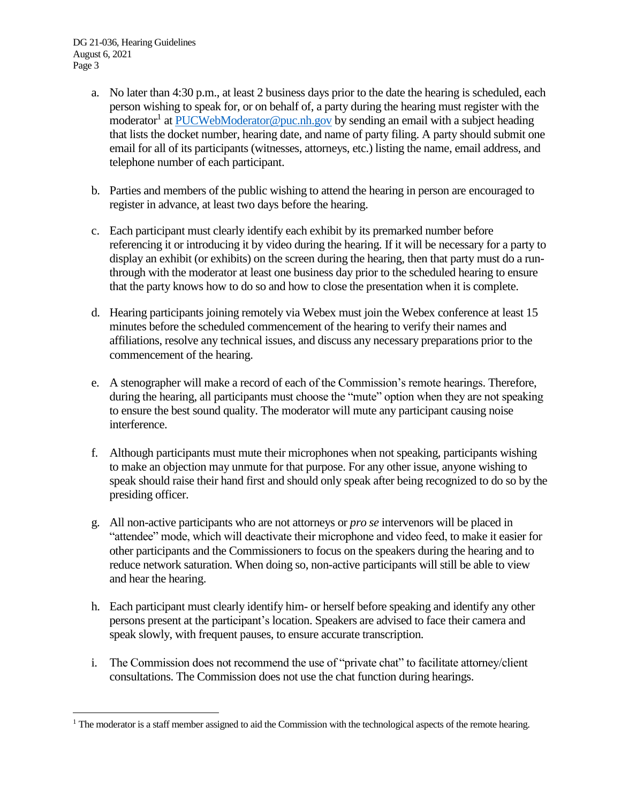$\overline{a}$ 

- a. No later than 4:30 p.m., at least 2 business days prior to the date the hearing is scheduled, each person wishing to speak for, or on behalf of, a party during the hearing must register with the moderator<sup>1</sup> a[t PUCWebModerator@puc.nh.gov](mailto:PUCWebModerator@puc.nh.gov) by sending an email with a subject heading that lists the docket number, hearing date, and name of party filing. A party should submit one email for all of its participants (witnesses, attorneys, etc.) listing the name, email address, and telephone number of each participant.
- b. Parties and members of the public wishing to attend the hearing in person are encouraged to register in advance, at least two days before the hearing.
- c. Each participant must clearly identify each exhibit by its premarked number before referencing it or introducing it by video during the hearing. If it will be necessary for a party to display an exhibit (or exhibits) on the screen during the hearing, then that party must do a runthrough with the moderator at least one business day prior to the scheduled hearing to ensure that the party knows how to do so and how to close the presentation when it is complete.
- d. Hearing participants joining remotely via Webex must join the Webex conference at least 15 minutes before the scheduled commencement of the hearing to verify their names and affiliations, resolve any technical issues, and discuss any necessary preparations prior to the commencement of the hearing.
- e. A stenographer will make a record of each of the Commission's remote hearings. Therefore, during the hearing, all participants must choose the "mute" option when they are not speaking to ensure the best sound quality. The moderator will mute any participant causing noise interference.
- f. Although participants must mute their microphones when not speaking, participants wishing to make an objection may unmute for that purpose. For any other issue, anyone wishing to speak should raise their hand first and should only speak after being recognized to do so by the presiding officer.
- g. All non-active participants who are not attorneys or *pro se* intervenors will be placed in "attendee" mode, which will deactivate their microphone and video feed, to make it easier for other participants and the Commissioners to focus on the speakers during the hearing and to reduce network saturation. When doing so, non-active participants will still be able to view and hear the hearing.
- h. Each participant must clearly identify him- or herself before speaking and identify any other persons present at the participant's location. Speakers are advised to face their camera and speak slowly, with frequent pauses, to ensure accurate transcription.
- i. The Commission does not recommend the use of "private chat" to facilitate attorney/client consultations. The Commission does not use the chat function during hearings.

 $<sup>1</sup>$  The moderator is a staff member assigned to aid the Commission with the technological aspects of the remote hearing.</sup>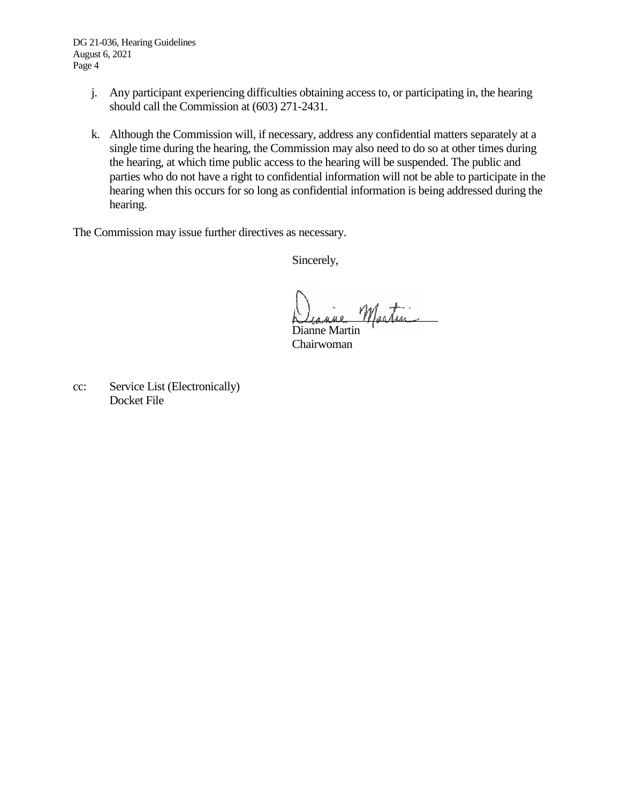DG 21-036, Hearing Guidelines August 6, 2021 Page 4

- j. Any participant experiencing difficulties obtaining access to, or participating in, the hearing should call the Commission at (603) 271-2431.
- k. Although the Commission will, if necessary, address any confidential matters separately at a single time during the hearing, the Commission may also need to do so at other times during the hearing, at which time public access to the hearing will be suspended. The public and parties who do not have a right to confidential information will not be able to participate in the hearing when this occurs for so long as confidential information is being addressed during the hearing.

The Commission may issue further directives as necessary.

Sincerely,

Martin

Dianne Martin Chairwoman

cc: Service List (Electronically) Docket File